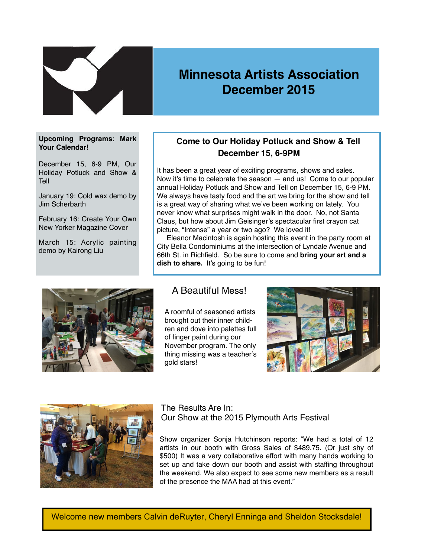

# **Minnesota Artists Association December 2015**

#### **Upcoming Programs**: **Mark Your Calendar!**

December 15, 6-9 PM, Our Holiday Potluck and Show & Tell

January 19: Cold wax demo by Jim Scherbarth

February 16: Create Your Own New Yorker Magazine Cover

March 15: Acrylic painting demo by Kairong Liu

## **Come to Our Holiday Potluck and Show & Tell December 15, 6-9PM**

It has been a great year of exciting programs, shows and sales. Now it's time to celebrate the season — and us! Come to our popular annual Holiday Potluck and Show and Tell on December 15, 6-9 PM. We always have tasty food and the art we bring for the show and tell is a great way of sharing what we've been working on lately. You never know what surprises might walk in the door. No, not Santa Claus, but how about Jim Geisinger's spectacular first crayon cat picture, "Intense" a year or two ago? We loved it!

 Eleanor Macintosh is again hosting this event in the party room at City Bella Condominiums at the intersection of Lyndale Avenue and 66th St. in Richfield. So be sure to come and **bring your art and a**  dish to share. It's going to be fun!



### A Beautiful Mess!

A roomful of seasoned artists brought out their inner children and dove into palettes full of finger paint during our November program. The only thing missing was a teacher's gold stars!





### The Results Are In: Our Show at the 2015 Plymouth Arts Festival

Show organizer Sonja Hutchinson reports: "We had a total of 12 artists in our booth with Gross Sales of \$489.75. (Or just shy of \$500) It was a very collaborative effort with many hands working to set up and take down our booth and assist with staffing throughout the weekend. We also expect to see some new members as a result of the presence the MAA had at this event."

Welcome new members Calvin deRuyter, Cheryl Enninga and Sheldon Stocksdale!